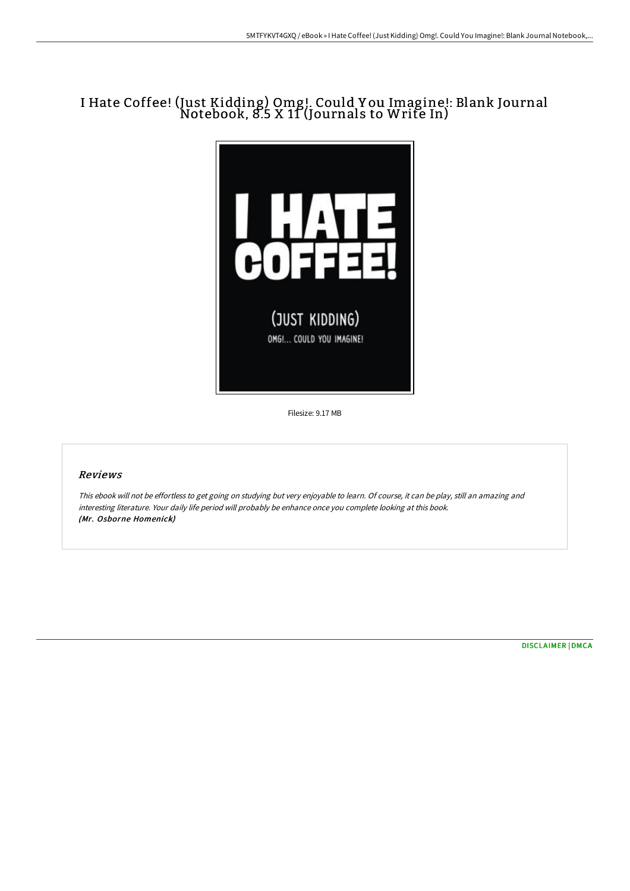## I Hate Coffee! (Just Kidding) Omg!. Could Y ou Imagine!: Blank Journal Notebook, 8.5 X 11 (Journals to Write In)



Filesize: 9.17 MB

## Reviews

This ebook will not be effortless to get going on studying but very enjoyable to learn. Of course, it can be play, still an amazing and interesting literature. Your daily life period will probably be enhance once you complete looking at this book. (Mr. Osborne Homenick)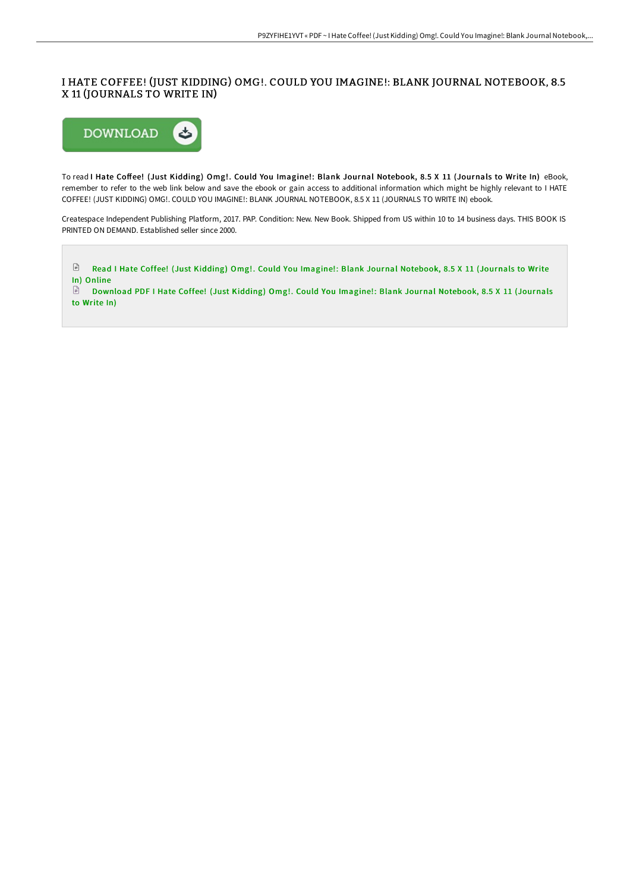## I HATE COFFEE! (JUST KIDDING) OMG!. COULD YOU IMAGINE!: BLANK JOURNAL NOTEBOOK, 8.5 X 11 (JOURNALS TO WRITE IN)



To read I Hate Coffee! (Just Kidding) Omg!. Could You Imagine!: Blank Journal Notebook, 8.5 X 11 (Journals to Write In) eBook, remember to refer to the web link below and save the ebook or gain access to additional information which might be highly relevant to I HATE COFFEE! (JUST KIDDING) OMG!. COULD YOU IMAGINE!: BLANK JOURNAL NOTEBOOK, 8.5 X 11 (JOURNALS TO WRITE IN) ebook.

Createspace Independent Publishing Platform, 2017. PAP. Condition: New. New Book. Shipped from US within 10 to 14 business days. THIS BOOK IS PRINTED ON DEMAND. Established seller since 2000.



to Write In)